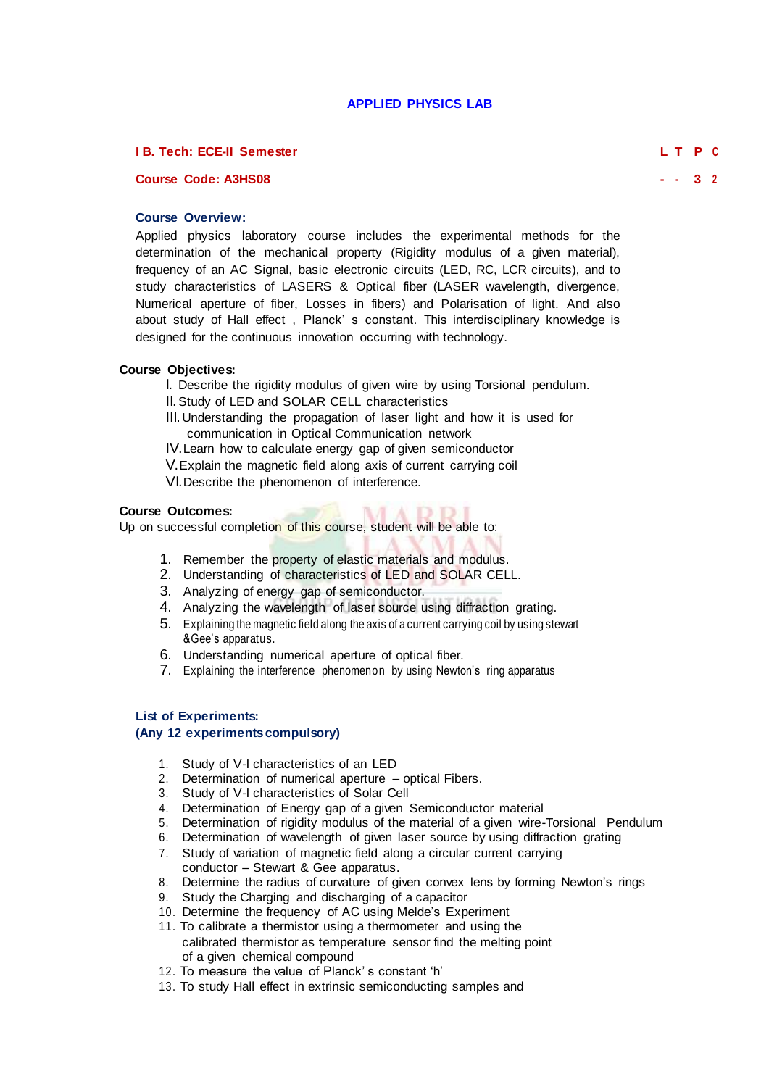# **APPLIED PHYSICS LAB**

## **I B. Tech: ECE-II Semester L T P <sup>C</sup>**

## **Course Code: A3HS08 - - 3 <sup>2</sup>**

## **Course Overview:**

Applied physics laboratory course includes the experimental methods for the determination of the mechanical property (Rigidity modulus of a given material), frequency of an AC Signal, basic electronic circuits (LED, RC, LCR circuits), and to study characteristics of LASERS & Optical fiber (LASER wavelength, divergence, Numerical aperture of fiber, Losses in fibers) and Polarisation of light. And also about study of Hall effect , Planck' s constant. This interdisciplinary knowledge is designed for the continuous innovation occurring with technology.

#### **Course Objectives:**

- I. Describe the rigidity modulus of given wire by using Torsional pendulum.
- II.Study of LED and SOLAR CELL characteristics
- III.Understanding the propagation of laser light and how it is used for communication in Optical Communication network

 $3.13.1$ 

- IV.Learn how to calculate energy gap of given semiconductor
- V.Explain the magnetic field along axis of current carrying coil

VI.Describe the phenomenon of interference.

#### **Course Outcomes:**

Up on successful completion of this course, student will be able to:

- 1. Remember the property of elastic materials and modulus.
- 2. Understanding of characteristics of LED and SOLAR CELL.
- 3. Analyzing of energy gap of semiconductor.
- 4. Analyzing the wavelength of laser source using diffraction grating.
- 5. Explaining the magnetic field along the axis of a current carrying coil by using stewart &Gee's apparatus.
- 6. Understanding numerical aperture of optical fiber.
- 7. Explaining the interference phenomenon by using Newton's ring apparatus

## **List of Experiments:**

## **(Any 12 experiments compulsory)**

- 1. Study of V-I characteristics of an LED
- 2. Determination of numerical aperture optical Fibers.
- 3. Study of V-I characteristics of Solar Cell
- 4. Determination of Energy gap of a given Semiconductor material
- 5. Determination of rigidity modulus of the material of a given wire-Torsional Pendulum
- 6. Determination of wavelength of given laser source by using diffraction grating
- 7. Study of variation of magnetic field along a circular current carrying
- conductor Stewart & Gee apparatus.
- 8. Determine the radius of curvature of given convex lens by forming Newton's rings
- 9. Study the Charging and discharging of a capacitor
- 10. Determine the frequency of AC using Melde's Experiment
- 11. To calibrate a thermistor using a thermometer and using the calibrated thermistor as temperature sensor find the melting point of a given chemical compound
- 12. To measure the value of Planck' s constant 'h'
- 13. To study Hall effect in extrinsic semiconducting samples and